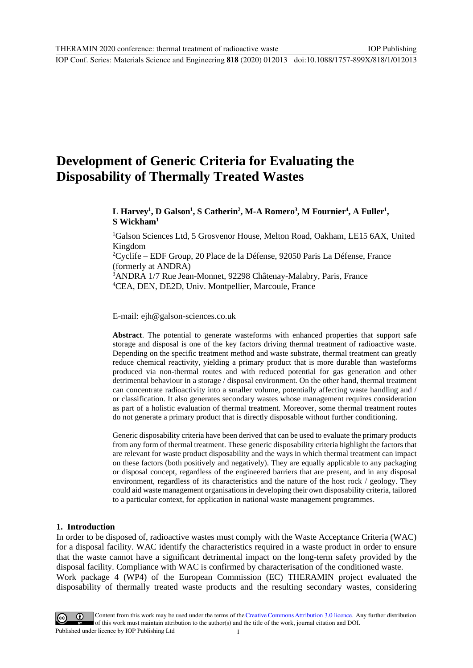IOP Conf. Series: Materials Science and Engineering **818** (2020) 012013 doi:10.1088/1757-899X/818/1/012013

# **Development of Generic Criteria for Evaluating the Disposability of Thermally Treated Wastes**

# L Harvey<sup>1</sup>, D Galson<sup>1</sup>, S Catherin<sup>2</sup>, M-A Romero<sup>3</sup>, M Fournier<sup>4</sup>, A Fuller<sup>1</sup>, **S Wickham1**

1 Galson Sciences Ltd, 5 Grosvenor House, Melton Road, Oakham, LE15 6AX, United Kingdom

2 Cyclife – EDF Group, 20 Place de la Défense, 92050 Paris La Défense, France (formerly at ANDRA)

3 ANDRA 1/7 Rue Jean-Monnet, 92298 Châtenay-Malabry, Paris, France 4 CEA, DEN, DE2D, Univ. Montpellier, Marcoule, France

E-mail: ejh@galson-sciences.co.uk

**Abstract**. The potential to generate wasteforms with enhanced properties that support safe storage and disposal is one of the key factors driving thermal treatment of radioactive waste. Depending on the specific treatment method and waste substrate, thermal treatment can greatly reduce chemical reactivity, yielding a primary product that is more durable than wasteforms produced via non-thermal routes and with reduced potential for gas generation and other detrimental behaviour in a storage / disposal environment. On the other hand, thermal treatment can concentrate radioactivity into a smaller volume, potentially affecting waste handling and / or classification. It also generates secondary wastes whose management requires consideration as part of a holistic evaluation of thermal treatment. Moreover, some thermal treatment routes do not generate a primary product that is directly disposable without further conditioning.

Generic disposability criteria have been derived that can be used to evaluate the primary products from any form of thermal treatment. These generic disposability criteria highlight the factors that are relevant for waste product disposability and the ways in which thermal treatment can impact on these factors (both positively and negatively). They are equally applicable to any packaging or disposal concept, regardless of the engineered barriers that are present, and in any disposal environment, regardless of its characteristics and the nature of the host rock / geology. They could aid waste management organisations in developing their own disposability criteria, tailored to a particular context, for application in national waste management programmes.

#### **1. Introduction**

In order to be disposed of, radioactive wastes must comply with the Waste Acceptance Criteria (WAC) for a disposal facility. WAC identify the characteristics required in a waste product in order to ensure that the waste cannot have a significant detrimental impact on the long-term safety provided by the disposal facility. Compliance with WAC is confirmed by characterisation of the conditioned waste. Work package 4 (WP4) of the European Commission (EC) THERAMIN project evaluated the disposability of thermally treated waste products and the resulting secondary wastes, considering

Content from this work may be used under the terms of the Creative Commons Attribution 3.0 licence. Any further distribution of this work must maintain attribution to the author(s) and the title of the work, journal citation and DOI. Published under licence by IOP Publishing Ltd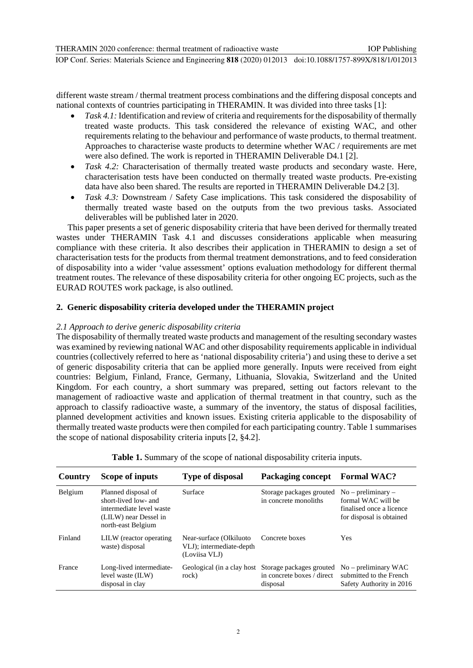different waste stream / thermal treatment process combinations and the differing disposal concepts and national contexts of countries participating in THERAMIN. It was divided into three tasks [1]:

- *Task 4.1:* Identification and review of criteria and requirements for the disposability of thermally treated waste products. This task considered the relevance of existing WAC, and other requirements relating to the behaviour and performance of waste products, to thermal treatment. Approaches to characterise waste products to determine whether WAC / requirements are met were also defined. The work is reported in THERAMIN Deliverable D4.1 [2].
- *Task 4.2:* Characterisation of thermally treated waste products and secondary waste. Here, characterisation tests have been conducted on thermally treated waste products. Pre-existing data have also been shared. The results are reported in THERAMIN Deliverable D4.2 [3].
- *Task 4.3:* Downstream / Safety Case implications. This task considered the disposability of thermally treated waste based on the outputs from the two previous tasks. Associated deliverables will be published later in 2020.

This paper presents a set of generic disposability criteria that have been derived for thermally treated wastes under THERAMIN Task 4.1 and discusses considerations applicable when measuring compliance with these criteria. It also describes their application in THERAMIN to design a set of characterisation tests for the products from thermal treatment demonstrations, and to feed consideration of disposability into a wider 'value assessment' options evaluation methodology for different thermal treatment routes. The relevance of these disposability criteria for other ongoing EC projects, such as the EURAD ROUTES work package, is also outlined.

# **2. Generic disposability criteria developed under the THERAMIN project**

# *2.1 Approach to derive generic disposability criteria*

The disposability of thermally treated waste products and management of the resulting secondary wastes was examined by reviewing national WAC and other disposability requirements applicable in individual countries (collectively referred to here as 'national disposability criteria') and using these to derive a set of generic disposability criteria that can be applied more generally. Inputs were received from eight countries: Belgium, Finland, France, Germany, Lithuania, Slovakia, Switzerland and the United Kingdom. For each country, a short summary was prepared, setting out factors relevant to the management of radioactive waste and application of thermal treatment in that country, such as the approach to classify radioactive waste, a summary of the inventory, the status of disposal facilities, planned development activities and known issues. Existing criteria applicable to the disposability of thermally treated waste products were then compiled for each participating country. Table 1 summarises the scope of national disposability criteria inputs [2, §4.2].

| Country | Scope of inputs                                                                                                        | <b>Type of disposal</b>                                               | Packaging concept                                                                             | <b>Formal WAC?</b>                                                                                 |
|---------|------------------------------------------------------------------------------------------------------------------------|-----------------------------------------------------------------------|-----------------------------------------------------------------------------------------------|----------------------------------------------------------------------------------------------------|
| Belgium | Planned disposal of<br>short-lived low- and<br>intermediate level waste<br>(LILW) near Dessel in<br>north-east Belgium | Surface                                                               | Storage packages grouted<br>in concrete monoliths                                             | $No$ – preliminary –<br>formal WAC will be<br>finalised once a licence<br>for disposal is obtained |
| Finland | LILW (reactor operating)<br>waste) disposal                                                                            | Near-surface (Olkiluoto)<br>VLJ); intermediate-depth<br>(Loviisa VLJ) | Concrete boxes                                                                                | <b>Yes</b>                                                                                         |
| France  | Long-lived intermediate-<br>level waste (ILW)<br>disposal in clay                                                      | rock)                                                                 | Geological (in a clay host Storage packages grouted<br>in concrete boxes / direct<br>disposal | $No$ – preliminary WAC<br>submitted to the French<br>Safety Authority in 2016                      |

**Table 1.** Summary of the scope of national disposability criteria inputs.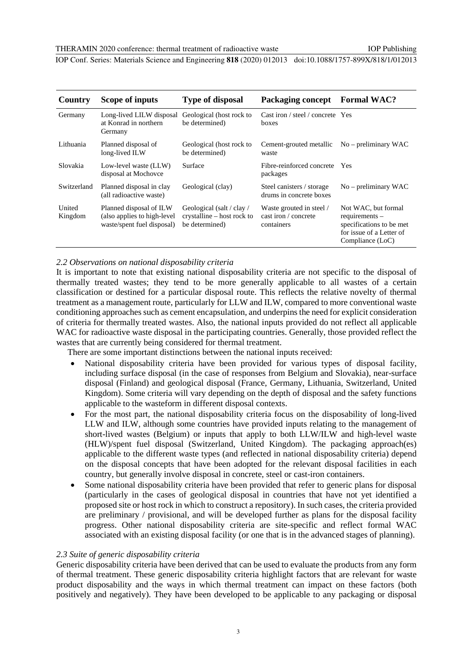IOP Conf. Series: Materials Science and Engineering **818** (2020) 012013 doi:10.1088/1757-899X/818/1/012013

| Country           | Scope of inputs                                                                      | <b>Type of disposal</b>                                                   | <b>Packaging concept</b>                                       | <b>Formal WAC?</b>                                                                                                  |
|-------------------|--------------------------------------------------------------------------------------|---------------------------------------------------------------------------|----------------------------------------------------------------|---------------------------------------------------------------------------------------------------------------------|
| Germany           | Long-lived LILW disposal<br>at Konrad in northern<br>Germany                         | Geological (host rock to<br>be determined)                                | Cast iron / steel / concrete Yes<br>boxes                      |                                                                                                                     |
| Lithuania         | Planned disposal of<br>long-lived ILW                                                | Geological (host rock to<br>be determined)                                | Cement-grouted metallic<br>waste                               | $No$ – preliminary WAC                                                                                              |
| Slovakia          | Low-level waste (LLW)<br>disposal at Mochovce                                        | Surface                                                                   | Fibre-reinforced concrete<br>packages                          | Yes                                                                                                                 |
| Switzerland       | Planned disposal in clay<br>(all radioactive waste)                                  | Geological (clay)                                                         | Steel canisters / storage<br>drums in concrete boxes           | $No$ – preliminary WAC                                                                                              |
| United<br>Kingdom | Planned disposal of ILW<br>(also applies to high-level<br>waste/spent fuel disposal) | Geological (salt / clay /<br>crystalline – host rock to<br>be determined) | Waste grouted in steel /<br>cast iron / concrete<br>containers | Not WAC, but formal<br>$requirements -$<br>specifications to be met<br>for issue of a Letter of<br>Compliance (LoC) |

#### *2.2 Observations on national disposability criteria*

It is important to note that existing national disposability criteria are not specific to the disposal of thermally treated wastes; they tend to be more generally applicable to all wastes of a certain classification or destined for a particular disposal route. This reflects the relative novelty of thermal treatment as a management route, particularly for LLW and ILW, compared to more conventional waste conditioning approaches such as cement encapsulation, and underpins the need for explicit consideration of criteria for thermally treated wastes. Also, the national inputs provided do not reflect all applicable WAC for radioactive waste disposal in the participating countries. Generally, those provided reflect the wastes that are currently being considered for thermal treatment.

There are some important distinctions between the national inputs received:

- National disposability criteria have been provided for various types of disposal facility, including surface disposal (in the case of responses from Belgium and Slovakia), near-surface disposal (Finland) and geological disposal (France, Germany, Lithuania, Switzerland, United Kingdom). Some criteria will vary depending on the depth of disposal and the safety functions applicable to the wasteform in different disposal contexts.
- For the most part, the national disposability criteria focus on the disposability of long-lived LLW and ILW, although some countries have provided inputs relating to the management of short-lived wastes (Belgium) or inputs that apply to both LLW/ILW and high-level waste (HLW)/spent fuel disposal (Switzerland, United Kingdom). The packaging approach(es) applicable to the different waste types (and reflected in national disposability criteria) depend on the disposal concepts that have been adopted for the relevant disposal facilities in each country, but generally involve disposal in concrete, steel or cast-iron containers.
- Some national disposability criteria have been provided that refer to generic plans for disposal (particularly in the cases of geological disposal in countries that have not yet identified a proposed site or host rock in which to construct a repository). In such cases, the criteria provided are preliminary / provisional, and will be developed further as plans for the disposal facility progress. Other national disposability criteria are site-specific and reflect formal WAC associated with an existing disposal facility (or one that is in the advanced stages of planning).

#### *2.3 Suite of generic disposability criteria*

Generic disposability criteria have been derived that can be used to evaluate the products from any form of thermal treatment. These generic disposability criteria highlight factors that are relevant for waste product disposability and the ways in which thermal treatment can impact on these factors (both positively and negatively). They have been developed to be applicable to any packaging or disposal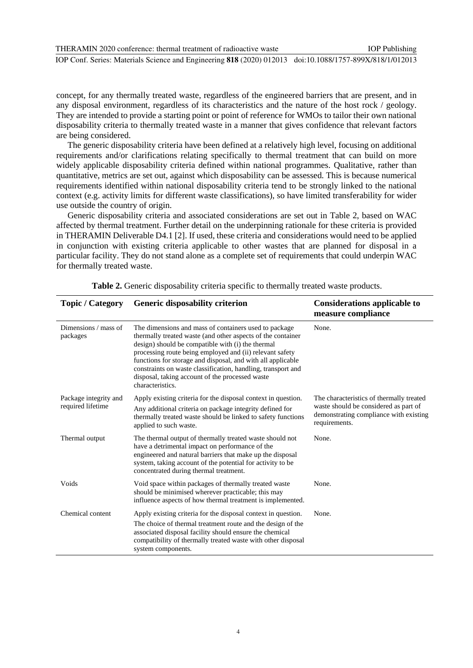THERAMIN 2020 conference: thermal treatment of radioactive waste IOP Conf. Series: Materials Science and Engineering **818** (2020) 012013 doi:10.1088/1757-899X/818/1/012013 IOP Publishing

concept, for any thermally treated waste, regardless of the engineered barriers that are present, and in any disposal environment, regardless of its characteristics and the nature of the host rock / geology. They are intended to provide a starting point or point of reference for WMOs to tailor their own national disposability criteria to thermally treated waste in a manner that gives confidence that relevant factors are being considered.

The generic disposability criteria have been defined at a relatively high level, focusing on additional requirements and/or clarifications relating specifically to thermal treatment that can build on more widely applicable disposability criteria defined within national programmes. Qualitative, rather than quantitative, metrics are set out, against which disposability can be assessed. This is because numerical requirements identified within national disposability criteria tend to be strongly linked to the national context (e.g. activity limits for different waste classifications), so have limited transferability for wider use outside the country of origin.

Generic disposability criteria and associated considerations are set out in Table 2, based on WAC affected by thermal treatment. Further detail on the underpinning rationale for these criteria is provided in THERAMIN Deliverable D4.1 [2]. If used, these criteria and considerations would need to be applied in conjunction with existing criteria applicable to other wastes that are planned for disposal in a particular facility. They do not stand alone as a complete set of requirements that could underpin WAC for thermally treated waste.

| <b>Topic / Category</b>                    | <b>Generic disposability criterion</b>                                                                                                                                                                                                                                                                                                                                                                                                      | <b>Considerations applicable to</b><br>measure compliance                                                                                    |
|--------------------------------------------|---------------------------------------------------------------------------------------------------------------------------------------------------------------------------------------------------------------------------------------------------------------------------------------------------------------------------------------------------------------------------------------------------------------------------------------------|----------------------------------------------------------------------------------------------------------------------------------------------|
| Dimensions / mass of<br>packages           | The dimensions and mass of containers used to package<br>thermally treated waste (and other aspects of the container<br>design) should be compatible with (i) the thermal<br>processing route being employed and (ii) relevant safety<br>functions for storage and disposal, and with all applicable<br>constraints on waste classification, handling, transport and<br>disposal, taking account of the processed waste<br>characteristics. | None.                                                                                                                                        |
| Package integrity and<br>required lifetime | Apply existing criteria for the disposal context in question.<br>Any additional criteria on package integrity defined for<br>thermally treated waste should be linked to safety functions<br>applied to such waste.                                                                                                                                                                                                                         | The characteristics of thermally treated<br>waste should be considered as part of<br>demonstrating compliance with existing<br>requirements. |
| Thermal output                             | The thermal output of thermally treated waste should not<br>have a detrimental impact on performance of the<br>engineered and natural barriers that make up the disposal<br>system, taking account of the potential for activity to be<br>concentrated during thermal treatment.                                                                                                                                                            | None.                                                                                                                                        |
| Voids                                      | Void space within packages of thermally treated waste<br>should be minimised wherever practicable; this may<br>influence aspects of how thermal treatment is implemented.                                                                                                                                                                                                                                                                   | None.                                                                                                                                        |
| Chemical content                           | Apply existing criteria for the disposal context in question.<br>The choice of thermal treatment route and the design of the<br>associated disposal facility should ensure the chemical<br>compatibility of thermally treated waste with other disposal<br>system components.                                                                                                                                                               | None.                                                                                                                                        |

**Table 2.** Generic disposability criteria specific to thermally treated waste products.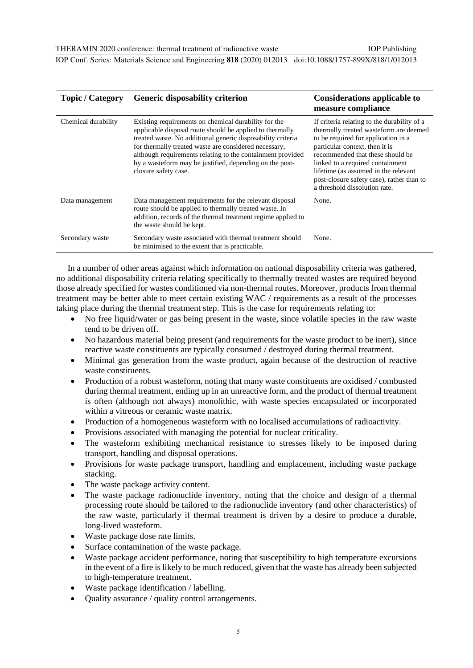IOP Publishing

IOP Conf. Series: Materials Science and Engineering **818** (2020) 012013 doi:10.1088/1757-899X/818/1/012013

| <b>Topic / Category</b> | <b>Generic disposability criterion</b>                                                                                                                                                                                                                                                                                                                                                    | <b>Considerations applicable to</b><br>measure compliance                                                                                                                                                                                                                                                                                                    |
|-------------------------|-------------------------------------------------------------------------------------------------------------------------------------------------------------------------------------------------------------------------------------------------------------------------------------------------------------------------------------------------------------------------------------------|--------------------------------------------------------------------------------------------------------------------------------------------------------------------------------------------------------------------------------------------------------------------------------------------------------------------------------------------------------------|
| Chemical durability     | Existing requirements on chemical durability for the<br>applicable disposal route should be applied to thermally<br>treated waste. No additional generic disposability criteria<br>for thermally treated waste are considered necessary,<br>although requirements relating to the containment provided<br>by a wasteform may be justified, depending on the post-<br>closure safety case. | If criteria relating to the durability of a<br>thermally treated wasteform are deemed<br>to be required for application in a<br>particular context, then it is<br>recommended that these should be<br>linked to a required containment<br>lifetime (as assumed in the relevant<br>post-closure safety case), rather than to<br>a threshold dissolution rate. |
| Data management         | Data management requirements for the relevant disposal<br>route should be applied to thermally treated waste. In<br>addition, records of the thermal treatment regime applied to<br>the waste should be kept.                                                                                                                                                                             | None.                                                                                                                                                                                                                                                                                                                                                        |
| Secondary waste         | Secondary waste associated with thermal treatment should<br>be minimised to the extent that is practicable.                                                                                                                                                                                                                                                                               | None.                                                                                                                                                                                                                                                                                                                                                        |

In a number of other areas against which information on national disposability criteria was gathered, no additional disposability criteria relating specifically to thermally treated wastes are required beyond those already specified for wastes conditioned via non-thermal routes. Moreover, products from thermal treatment may be better able to meet certain existing WAC / requirements as a result of the processes taking place during the thermal treatment step. This is the case for requirements relating to:

- No free liquid/water or gas being present in the waste, since volatile species in the raw waste tend to be driven off.
- No hazardous material being present (and requirements for the waste product to be inert), since reactive waste constituents are typically consumed / destroyed during thermal treatment.
- Minimal gas generation from the waste product, again because of the destruction of reactive waste constituents.
- Production of a robust wasteform, noting that many waste constituents are oxidised / combusted during thermal treatment, ending up in an unreactive form, and the product of thermal treatment is often (although not always) monolithic, with waste species encapsulated or incorporated within a vitreous or ceramic waste matrix.
- Production of a homogeneous wasteform with no localised accumulations of radioactivity.
- Provisions associated with managing the potential for nuclear criticality.
- The wasteform exhibiting mechanical resistance to stresses likely to be imposed during transport, handling and disposal operations.
- Provisions for waste package transport, handling and emplacement, including waste package stacking.
- The waste package activity content.
- The waste package radionuclide inventory, noting that the choice and design of a thermal processing route should be tailored to the radionuclide inventory (and other characteristics) of the raw waste, particularly if thermal treatment is driven by a desire to produce a durable, long-lived wasteform.
- Waste package dose rate limits.
- Surface contamination of the waste package.
- Waste package accident performance, noting that susceptibility to high temperature excursions in the event of a fire is likely to be much reduced, given that the waste has already been subjected to high-temperature treatment.
- Waste package identification / labelling.
- Ouality assurance / quality control arrangements.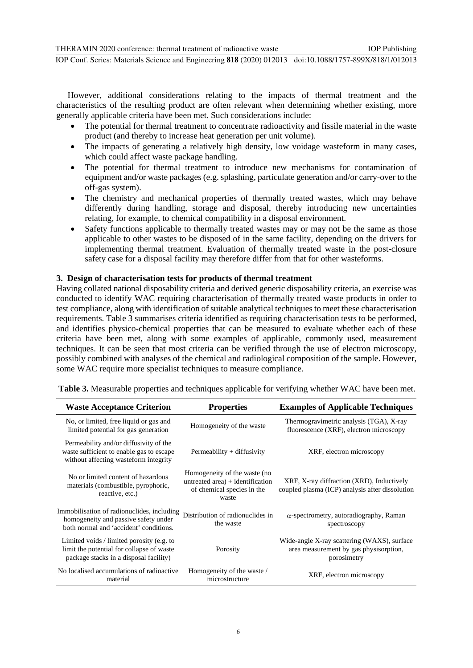IOP Conf. Series: Materials Science and Engineering **818** (2020) 012013 doi:10.1088/1757-899X/818/1/012013

However, additional considerations relating to the impacts of thermal treatment and the characteristics of the resulting product are often relevant when determining whether existing, more generally applicable criteria have been met. Such considerations include:

- The potential for thermal treatment to concentrate radioactivity and fissile material in the waste product (and thereby to increase heat generation per unit volume).
- The impacts of generating a relatively high density, low voidage wasteform in many cases, which could affect waste package handling.
- The potential for thermal treatment to introduce new mechanisms for contamination of equipment and/or waste packages (e.g. splashing, particulate generation and/or carry-over to the off-gas system).
- The chemistry and mechanical properties of thermally treated wastes, which may behave differently during handling, storage and disposal, thereby introducing new uncertainties relating, for example, to chemical compatibility in a disposal environment.
- Safety functions applicable to thermally treated wastes may or may not be the same as those applicable to other wastes to be disposed of in the same facility, depending on the drivers for implementing thermal treatment. Evaluation of thermally treated waste in the post-closure safety case for a disposal facility may therefore differ from that for other wasteforms.

## **3. Design of characterisation tests for products of thermal treatment**

Having collated national disposability criteria and derived generic disposability criteria, an exercise was conducted to identify WAC requiring characterisation of thermally treated waste products in order to test compliance, along with identification of suitable analytical techniques to meet these characterisation requirements. Table 3 summarises criteria identified as requiring characterisation tests to be performed, and identifies physico-chemical properties that can be measured to evaluate whether each of these criteria have been met, along with some examples of applicable, commonly used, measurement techniques. It can be seen that most criteria can be verified through the use of electron microscopy, possibly combined with analyses of the chemical and radiological composition of the sample. However, some WAC require more specialist techniques to measure compliance.

| <b>Waste Acceptance Criterion</b>                                                                                                | <b>Properties</b>                                                                                         | <b>Examples of Applicable Techniques</b>                                                             |
|----------------------------------------------------------------------------------------------------------------------------------|-----------------------------------------------------------------------------------------------------------|------------------------------------------------------------------------------------------------------|
| No, or limited, free liquid or gas and<br>limited potential for gas generation                                                   | Homogeneity of the waste                                                                                  | Thermogravimetric analysis (TGA), X-ray<br>fluorescence (XRF), electron microscopy                   |
| Permeability and/or diffusivity of the<br>waste sufficient to enable gas to escape<br>without affecting wasteform integrity      | $Permeability + diffusivity$                                                                              | XRF, electron microscopy                                                                             |
| No or limited content of hazardous<br>materials (combustible, pyrophoric,<br>reactive, etc.)                                     | Homogeneity of the waste (no<br>untreated area) $+$ identification<br>of chemical species in the<br>waste | XRF, X-ray diffraction (XRD), Inductively<br>coupled plasma (ICP) analysis after dissolution         |
| Immobilisation of radionuclides, including<br>homogeneity and passive safety under<br>both normal and 'accident' conditions.     | Distribution of radionuclides in<br>the waste                                                             | $\alpha$ -spectrometry, autoradiography, Raman<br>spectroscopy                                       |
| Limited voids / limited porosity (e.g. to<br>limit the potential for collapse of waste<br>package stacks in a disposal facility) | Porosity                                                                                                  | Wide-angle X-ray scattering (WAXS), surface<br>area measurement by gas physisorption,<br>porosimetry |
| No localised accumulations of radioactive<br>material                                                                            | Homogeneity of the waste /<br>microstructure                                                              | XRF, electron microscopy                                                                             |

**Table 3.** Measurable properties and techniques applicable for verifying whether WAC have been met.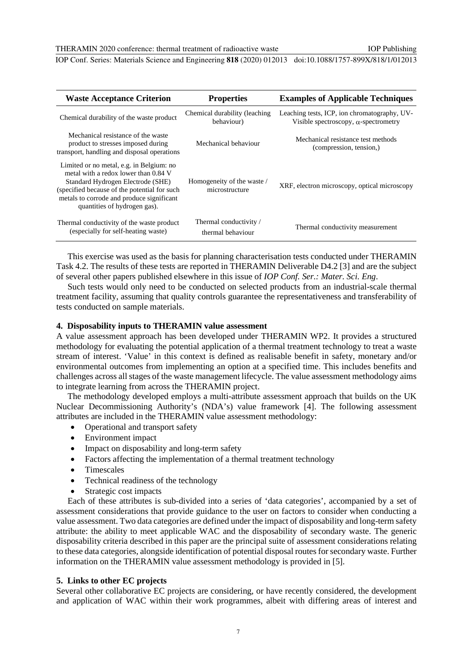#### THERAMIN 2020 conference: thermal treatment of radioactive waste

IOP Publishing

IOP Conf. Series: Materials Science and Engineering **818** (2020) 012013 doi:10.1088/1757-899X/818/1/012013

| <b>Waste Acceptance Criterion</b>                                                                                                                                                                                                                  | <b>Properties</b>                            | <b>Examples of Applicable Techniques</b>                                                     |
|----------------------------------------------------------------------------------------------------------------------------------------------------------------------------------------------------------------------------------------------------|----------------------------------------------|----------------------------------------------------------------------------------------------|
| Chemical durability of the waste product                                                                                                                                                                                                           | Chemical durability (leaching<br>behaviour)  | Leaching tests, ICP, ion chromatography, UV-<br>Visible spectroscopy, $\alpha$ -spectrometry |
| Mechanical resistance of the waste<br>product to stresses imposed during<br>transport, handling and disposal operations                                                                                                                            | Mechanical behaviour                         | Mechanical resistance test methods<br>(compression, tension,)                                |
| Limited or no metal, e.g. in Belgium: no<br>metal with a redox lower than 0.84 V<br>Standard Hydrogen Electrode (SHE)<br>(specified because of the potential for such<br>metals to corrode and produce significant<br>quantities of hydrogen gas). | Homogeneity of the waste /<br>microstructure | XRF, electron microscopy, optical microscopy                                                 |
| Thermal conductivity of the waste product<br>(especially for self-heating waste)                                                                                                                                                                   | Thermal conductivity /<br>thermal behaviour  | Thermal conductivity measurement                                                             |

This exercise was used as the basis for planning characterisation tests conducted under THERAMIN Task 4.2. The results of these tests are reported in THERAMIN Deliverable D4.2 [3] and are the subject of several other papers published elsewhere in this issue of *IOP Conf. Ser.: Mater. Sci. Eng*.

Such tests would only need to be conducted on selected products from an industrial-scale thermal treatment facility, assuming that quality controls guarantee the representativeness and transferability of tests conducted on sample materials.

### **4. Disposability inputs to THERAMIN value assessment**

A value assessment approach has been developed under THERAMIN WP2. It provides a structured methodology for evaluating the potential application of a thermal treatment technology to treat a waste stream of interest. 'Value' in this context is defined as realisable benefit in safety, monetary and/or environmental outcomes from implementing an option at a specified time. This includes benefits and challenges across all stages of the waste management lifecycle. The value assessment methodology aims to integrate learning from across the THERAMIN project.

The methodology developed employs a multi-attribute assessment approach that builds on the UK Nuclear Decommissioning Authority's (NDA's) value framework [4]. The following assessment attributes are included in the THERAMIN value assessment methodology:

- Operational and transport safety
- Environment impact
- Impact on disposability and long-term safety
- Factors affecting the implementation of a thermal treatment technology
- Timescales
- Technical readiness of the technology
- Strategic cost impacts

Each of these attributes is sub-divided into a series of 'data categories', accompanied by a set of assessment considerations that provide guidance to the user on factors to consider when conducting a value assessment. Two data categories are defined under the impact of disposability and long-term safety attribute: the ability to meet applicable WAC and the disposability of secondary waste. The generic disposability criteria described in this paper are the principal suite of assessment considerations relating to these data categories, alongside identification of potential disposal routes for secondary waste. Further information on the THERAMIN value assessment methodology is provided in [5].

#### **5. Links to other EC projects**

Several other collaborative EC projects are considering, or have recently considered, the development and application of WAC within their work programmes, albeit with differing areas of interest and